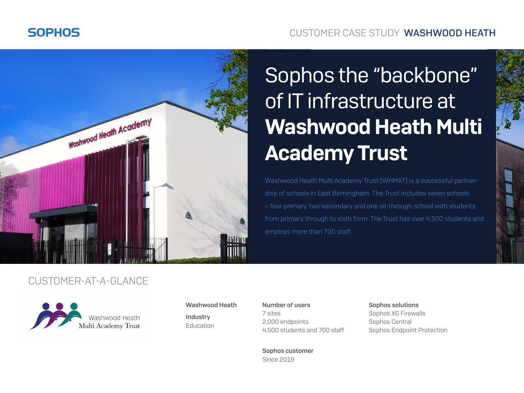# **SOPHOS**

## CUSTOMER CASE STUDY WASHWOOD HEATH



# Sophos the "backbone" of IT infrastructure at Washwood Heath Multi Academy Trust

Washwood Heath Multi Academy Trust (WHMAT) is a successful partnership of schools in East Birmingham. The Trust includes seven schools – four primary, two secondary and one all-through school with students from primary through to sixth form. The Trust has over 4,500 students and employs more than 700 staff.

## CUSTOMER-AT-A-GLANCE



#### Washwood Heath

Industry Education Number of users 7 sites 2,000 endpoints 4,500 students and 700 staff Sophos solutions Sophos XG Firewalls Sophos Central Sophos Endpoint Protection

Sophos customer Since 2019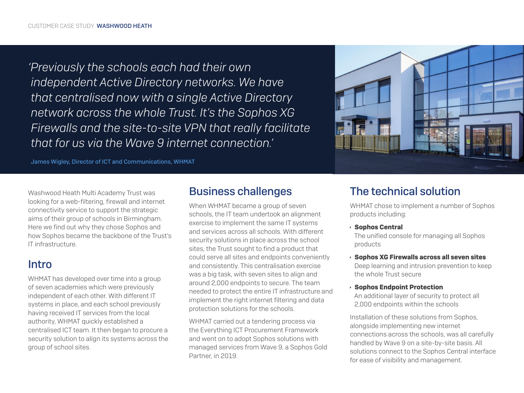*'Previously the schools each had their own independent Active Directory networks. We have that centralised now with a single Active Directory network across the whole Trust. It's the Sophos XG Firewalls and the site-to-site VPN that really facilitate that for us via the Wave 9 internet connection.'*



James Wigley, Director of ICT and Communications, WHMAT

Washwood Heath Multi Academy Trust was looking for a web-filtering, firewall and internet connectivity service to support the strategic aims of their group of schools in Birmingham. Here we find out why they chose Sophos and how Sophos became the backbone of the Trust's IT infrastructure.

## Intro

WHMAT has developed over time into a group of seven academies which were previously independent of each other. With different IT systems in place, and each school previously having received IT services from the local authority, WHMAT quickly established a centralised ICT team. It then began to procure a security solution to align its systems across the group of school sites.

## Business challenges

When WHMAT became a group of seven schools, the IT team undertook an alignment exercise to implement the same IT systems and services across all schools. With different security solutions in place across the school sites, the Trust sought to find a product that could serve all sites and endpoints conveniently and consistently. This centralisation exercise was a big task, with seven sites to align and around 2,000 endpoints to secure. The team needed to protect the entire IT infrastructure and implement the right internet filtering and data protection solutions for the schools.

WHMAT carried out a tendering process via the Everything ICT Procurement Framework and went on to adopt Sophos solutions with managed services from Wave 9, a Sophos Gold Partner, in 2019.

# The technical solution

WHMAT chose to implement a number of Sophos products including:

#### $\rightarrow$  Sophos Central

 The unified console for managing all Sophos products

- $\rightarrow$  Sophos XG Firewalls across all seven sites Deep learning and intrusion prevention to keep the whole Trust secure
- $\rightarrow$  Sophos Endpoint Protection

 An additional layer of security to protect all 2,000 endpoints within the schools

Installation of these solutions from Sophos, alongside implementing new internet connections across the schools, was all carefully handled by Wave 9 on a site-by-site basis. All solutions connect to the Sophos Central interface for ease of visibility and management.